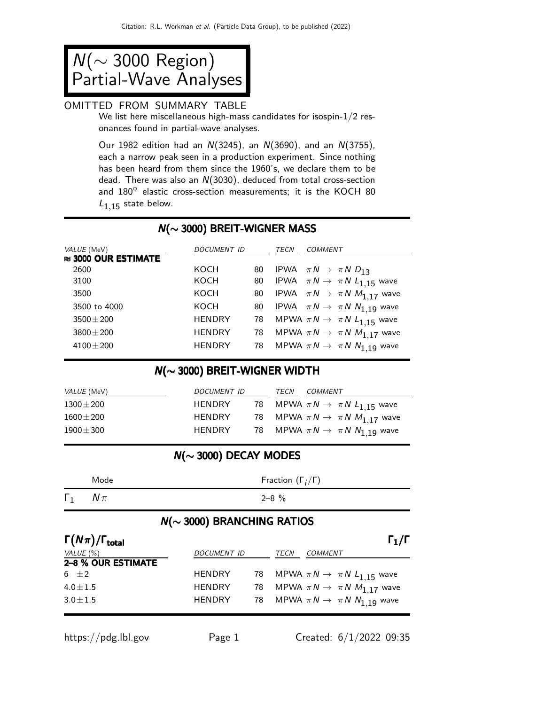N(∼ 3000 Region) Partial-Wave Analyses

## OMITTED FROM SUMMARY TABLE

We list here miscellaneous high-mass candidates for isospin-1/2 resonances found in partial-wave analyses.

Our 1982 edition had an  $N(3245)$ , an  $N(3690)$ , and an  $N(3755)$ , each a narrow peak seen in a production experiment. Since nothing has been heard from them since the 1960's, we declare them to be dead. There was also an N(3030), deduced from total cross-section about the case of the cross-section measurements; it is the KOCH 80  $L_{1,15}$  state below.

#### N(∼ 3000) BREIT-WIGNER MASS

| VALUE (MeV)                 | DOCUMENT ID   |    | TECN | <b>COMMENT</b>                                  |
|-----------------------------|---------------|----|------|-------------------------------------------------|
| $\approx$ 3000 OUR ESTIMATE |               |    |      |                                                 |
| 2600                        | KOCH          | 80 |      | IPWA $\pi N \rightarrow \pi N D_{13}$           |
| 3100                        | KOCH          | 80 |      | IPWA $\pi N \rightarrow \pi N L_{1.15}$ wave    |
| 3500                        | KOCH          | 80 |      | IPWA $\pi N \to \pi N M_{1.17}$ wave            |
| 3500 to 4000                | KOCH          | 80 |      | IPWA $\pi N \rightarrow \pi N N_{1.19}$ wave    |
| $3500 \pm 200$              | <b>HENDRY</b> |    |      | 78 MPWA $\pi N \rightarrow \pi N L_{1,15}$ wave |
| $3800 + 200$                | <b>HENDRY</b> | 78 |      | MPWA $\pi N \rightarrow \pi N M_{1.17}$ wave    |
| $4100 \pm 200$              | <b>HENDRY</b> | 78 |      | MPWA $\pi N \to \pi N N_{1,19}$ wave            |

### N(∼ 3000) BREIT-WIGNER WIDTH

| <i>VALUE</i> (MeV) | DOCUMENT ID   | TECN | <i>COMMENT</i>                                  |
|--------------------|---------------|------|-------------------------------------------------|
| $1300 \pm 200$     | <b>HENDRY</b> |      | 78 MPWA $\pi N \rightarrow \pi N L_{1.15}$ wave |
| $1600 \pm 200$     | <b>HENDRY</b> |      | 78 MPWA $\pi N \rightarrow \pi N M_{1,17}$ wave |
| $1900 \pm 300$     | <b>HENDRY</b> |      | 78 MPWA $\pi N \rightarrow \pi N N_{1.19}$ wave |

## N(∼ 3000) DECAY MODES

|            | Mode   | Fraction $(\Gamma_i/\Gamma)$ |
|------------|--------|------------------------------|
| $\Gamma_1$ | $N\pi$ | $2 - 8 \%$                   |

## N(∼ 3000) BRANCHING RATIOS

| $\Gamma(N\pi)/\Gamma_{\rm total}$ |                    |      | $\Gamma_1/\Gamma$                               |
|-----------------------------------|--------------------|------|-------------------------------------------------|
| VALUE (%)                         | <b>DOCUMENT ID</b> | TECN | <b>COMMENT</b>                                  |
| 2-8 % OUR ESTIMATE                |                    |      |                                                 |
| 6 $\pm 2$                         | <b>HENDRY</b>      |      | 78 MPWA $\pi N \rightarrow \pi N L_{1.15}$ wave |
| $4.0 \pm 1.5$                     | <b>HENDRY</b>      |      | 78 MPWA $\pi N \rightarrow \pi N M_{1.17}$ wave |
| $3.0 \pm 1.5$                     | <b>HENDRY</b>      |      | 78 MPWA $\pi N \rightarrow \pi N N_1$ 19 wave   |